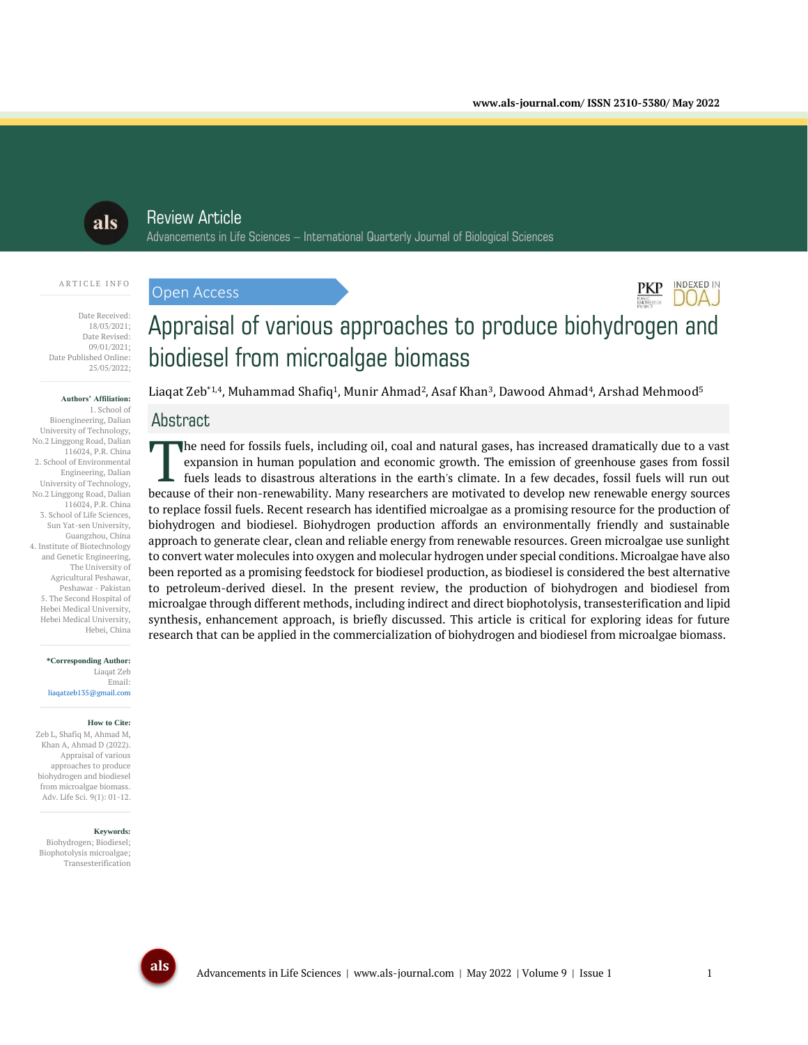**INDEXED IN** DOAJ



## Review Article

Open Access

Advancements in Life Sciences – International Quarterly Journal of Biological Sciences

#### A R T I C L E I N F O

Date Received: 18/03/2021; Date Revised: 09/01/2021; Date Published Online: 25/05/2022;

#### **Authors' Affiliation:**

1. School of Bioengineering, Dalian University of Technology, No.2 Linggong Road, Dalian 116024, P.R. China 2. School of Environmental Engineering, Dalian University of Technology, No.2 Linggong Road, Dalian 116024, P.R. China 3. School of Life Sciences, Sun Yat-sen University, Guangzhou, China 4. Institute of Biotechnology and Genetic Engineering, The University of Agricultural Peshawar, Peshawar - Pakistan 5. The Second Hospital of Hebei Medical University, Hebei Medical University, Hebei, China

> **\*Corresponding Author:** Liaqat Zeb Email: liaqatzeb135@gmail.com

#### **How to Cite:**

Zeb L, Shafiq M, Ahmad M, Khan A, Ahmad D (2022). Appraisal of various approaches to produce biohydrogen and biodiesel from microalgae biomass. Adv. Life Sci. 9(1): 01-12.

#### **Keywords:**

Biohydrogen; Biodiesel; Biophotolysis microalgae; Transesterification

# Appraisal of various approaches to produce biohydrogen and biodiesel from microalgae biomass

Liaqat Zeb\*1,4, Muhammad Shafiq<sup>1</sup>, Munir Ahmad<sup>2</sup>, Asaf Khan<sup>3</sup>, Dawood Ahmad<sup>4</sup>, Arshad Mehmood<sup>5</sup>

## Abstract

he need for fossils fuels, including oil, coal and natural gases, has increased dramatically due to a vast expansion in human population and economic growth. The emission of greenhouse gases from fossil fuels leads to disastrous alterations in the earth's climate. In a few decades, fossil fuels will run out The need for fossils fuels, including oil, coal and natural gases, has increased dramatically due to a vast expansion in human population and economic growth. The emission of greenhouse gases from fossil fuels leads to dis to replace fossil fuels. Recent research has identified microalgae as a promising resource for the production of biohydrogen and biodiesel. Biohydrogen production affords an environmentally friendly and sustainable approach to generate clear, clean and reliable energy from renewable resources. Green microalgae use sunlight to convert water molecules into oxygen and molecular hydrogen under special conditions. Microalgae have also been reported as a promising feedstock for biodiesel production, as biodiesel is considered the best alternative to petroleum-derived diesel. In the present review, the production of biohydrogen and biodiesel from microalgae through different methods, including indirect and direct biophotolysis, transesterification and lipid synthesis, enhancement approach, is briefly discussed. This article is critical for exploring ideas for future research that can be applied in the commercialization of biohydrogen and biodiesel from microalgae biomass.

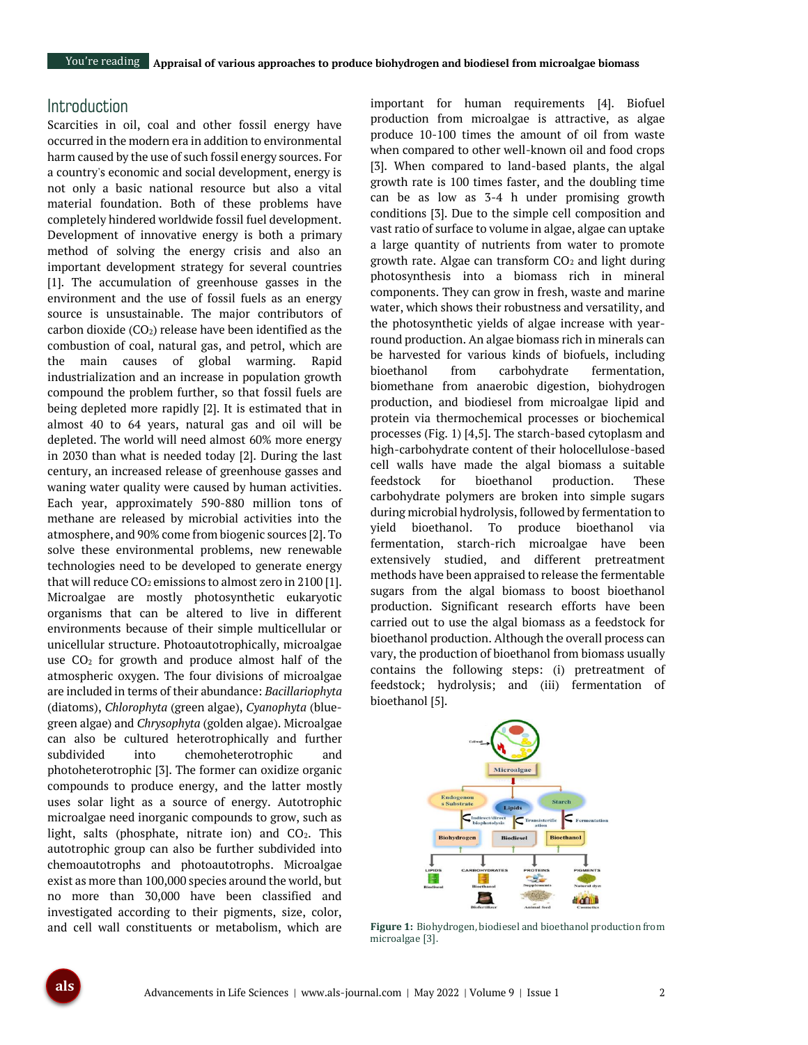## **Introduction**

Scarcities in oil, coal and other fossil energy have occurred in the modern era in addition to environmental harm caused by the use of such fossil energy sources. For a country's economic and social development, energy is not only a basic national resource but also a vital material foundation. Both of these problems have completely hindered worldwide fossil fuel development. Development of innovative energy is both a primary method of solving the energy crisis and also an important development strategy for several countries [1]. The accumulation of greenhouse gasses in the environment and the use of fossil fuels as an energy source is unsustainable. The major contributors of carbon dioxide  $(CO_2)$  release have been identified as the combustion of coal, natural gas, and petrol, which are the main causes of global warming. Rapid industrialization and an increase in population growth compound the problem further, so that fossil fuels are being depleted more rapidly [2]. It is estimated that in almost 40 to 64 years, natural gas and oil will be depleted. The world will need almost 60% more energy in 2030 than what is needed today [2]. During the last century, an increased release of greenhouse gasses and waning water quality were caused by human activities. Each year, approximately 590-880 million tons of methane are released by microbial activities into the atmosphere, and 90% come from biogenic sources [2]. To solve these environmental problems, new renewable technologies need to be developed to generate energy that will reduce  $CO<sub>2</sub>$  emissions to almost zero in 2100 [1]. Microalgae are mostly photosynthetic eukaryotic organisms that can be altered to live in different environments because of their simple multicellular or unicellular structure. Photoautotrophically, microalgae use  $CO<sub>2</sub>$  for growth and produce almost half of the atmospheric oxygen. The four divisions of microalgae are included in terms of their abundance: *Bacillariophyta* (diatoms), *Chlorophyta* (green algae), *Cyanophyta* (bluegreen algae) and *Chrysophyta* (golden algae). Microalgae can also be cultured heterotrophically and further subdivided into chemoheterotrophic and photoheterotrophic [3]. The former can oxidize organic compounds to produce energy, and the latter mostly uses solar light as a source of energy. Autotrophic microalgae need inorganic compounds to grow, such as light, salts (phosphate, nitrate ion) and  $CO<sub>2</sub>$ . This autotrophic group can also be further subdivided into chemoautotrophs and photoautotrophs. Microalgae exist as more than 100,000 species around the world, but no more than 30,000 have been classified and investigated according to their pigments, size, color, and cell wall constituents or metabolism, which are

important for human requirements [4]. Biofuel production from microalgae is attractive, as algae produce 10-100 times the amount of oil from waste when compared to other well-known oil and food crops [3]. When compared to land-based plants, the algal growth rate is 100 times faster, and the doubling time can be as low as 3-4 h under promising growth conditions [3]. Due to the simple cell composition and vast ratio of surface to volume in algae, algae can uptake a large quantity of nutrients from water to promote growth rate. Algae can transform  $CO<sub>2</sub>$  and light during photosynthesis into a biomass rich in mineral components. They can grow in fresh, waste and marine water, which shows their robustness and versatility, and the photosynthetic yields of algae increase with yearround production. An algae biomass rich in minerals can be harvested for various kinds of biofuels, including bioethanol from carbohydrate fermentation, biomethane from anaerobic digestion, biohydrogen production, and biodiesel from microalgae lipid and protein via thermochemical processes or biochemical processes (Fig. 1) [4,5]. The starch-based cytoplasm and high-carbohydrate content of their holocellulose-based cell walls have made the algal biomass a suitable feedstock for bioethanol production. These carbohydrate polymers are broken into simple sugars during microbial hydrolysis, followed by fermentation to yield bioethanol. To produce bioethanol via fermentation, starch-rich microalgae have been extensively studied, and different pretreatment methods have been appraised to release the fermentable sugars from the algal biomass to boost bioethanol production. Significant research efforts have been carried out to use the algal biomass as a feedstock for bioethanol production. Although the overall process can vary, the production of bioethanol from biomass usually contains the following steps: (i) pretreatment of feedstock; hydrolysis; and (iii) fermentation of bioethanol [5].



**Figure 1:** Biohydrogen, biodiesel and bioethanol production from microalgae [3].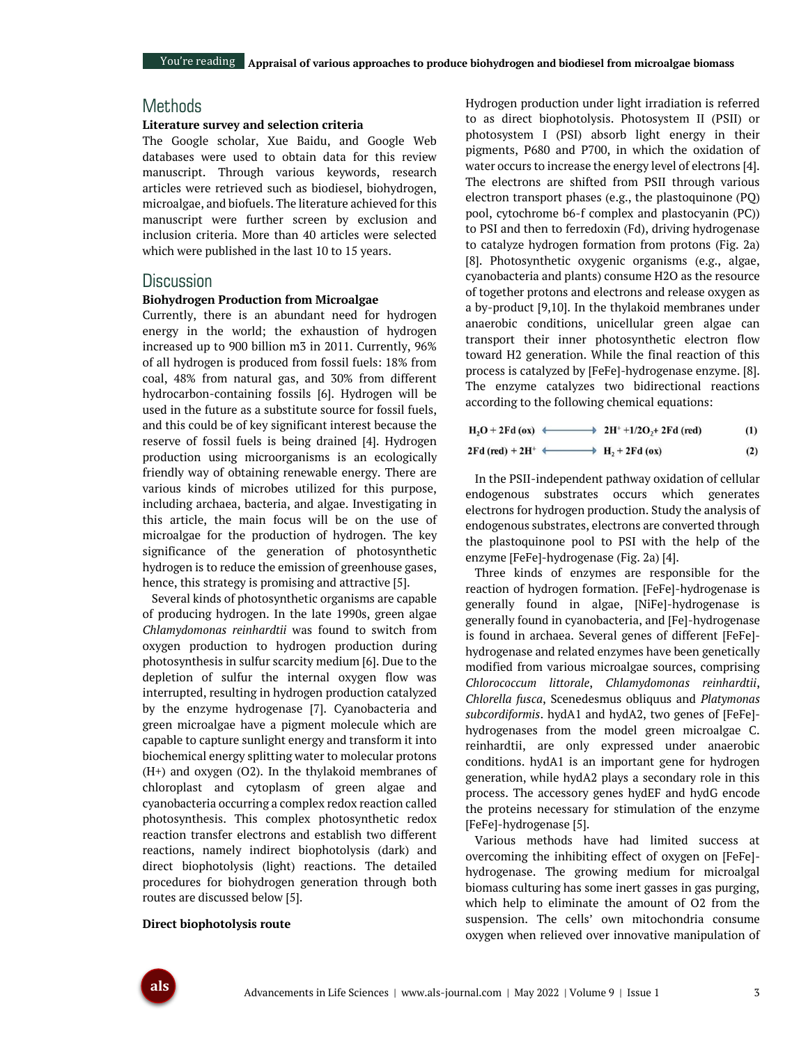## **Methods**

#### **Literature survey and selection criteria**

The Google scholar, Xue Baidu, and Google Web databases were used to obtain data for this review manuscript. Through various keywords, research articles were retrieved such as biodiesel, biohydrogen, microalgae, and biofuels. The literature achieved for this manuscript were further screen by exclusion and inclusion criteria. More than 40 articles were selected which were published in the last 10 to 15 years.

### **Discussion**

#### **Biohydrogen Production from Microalgae**

Currently, there is an abundant need for hydrogen energy in the world; the exhaustion of hydrogen increased up to 900 billion m3 in 2011. Currently, 96% of all hydrogen is produced from fossil fuels: 18% from coal, 48% from natural gas, and 30% from different hydrocarbon-containing fossils [6]. Hydrogen will be used in the future as a substitute source for fossil fuels, and this could be of key significant interest because the reserve of fossil fuels is being drained [4]. Hydrogen production using microorganisms is an ecologically friendly way of obtaining renewable energy. There are various kinds of microbes utilized for this purpose, including archaea, bacteria, and algae. Investigating in this article, the main focus will be on the use of microalgae for the production of hydrogen. The key significance of the generation of photosynthetic hydrogen is to reduce the emission of greenhouse gases, hence, this strategy is promising and attractive [5].

Several kinds of photosynthetic organisms are capable of producing hydrogen. In the late 1990s, green algae *Chlamydomonas reinhardtii* was found to switch from oxygen production to hydrogen production during photosynthesis in sulfur scarcity medium [6]. Due to the depletion of sulfur the internal oxygen flow was interrupted, resulting in hydrogen production catalyzed by the enzyme hydrogenase [7]. Cyanobacteria and green microalgae have a pigment molecule which are capable to capture sunlight energy and transform it into biochemical energy splitting water to molecular protons (H+) and oxygen (O2). In the thylakoid membranes of chloroplast and cytoplasm of green algae and cyanobacteria occurring a complex redox reaction called photosynthesis. This complex photosynthetic redox reaction transfer electrons and establish two different reactions, namely indirect biophotolysis (dark) and direct biophotolysis (light) reactions. The detailed procedures for biohydrogen generation through both routes are discussed below [5].

#### **Direct biophotolysis route**

Hydrogen production under light irradiation is referred to as direct biophotolysis. Photosystem II (PSII) or photosystem I (PSI) absorb light energy in their pigments, P680 and P700, in which the oxidation of water occurs to increase the energy level of electrons [4]. The electrons are shifted from PSII through various electron transport phases (e.g., the plastoquinone (PQ) pool, cytochrome b6-f complex and plastocyanin (PC)) to PSI and then to ferredoxin (Fd), driving hydrogenase to catalyze hydrogen formation from protons (Fig. 2a) [8]. Photosynthetic oxygenic organisms (e.g., algae, cyanobacteria and plants) consume H2O as the resource of together protons and electrons and release oxygen as a by-product [9,10]. In the thylakoid membranes under anaerobic conditions, unicellular green algae can transport their inner photosynthetic electron flow toward H2 generation. While the final reaction of this process is catalyzed by [FeFe]-hydrogenase enzyme. [8]. The enzyme catalyzes two bidirectional reactions according to the following chemical equations:

 $H_2O + 2Fd$  (ox)  $\longleftrightarrow$  2H<sup>+</sup> +1/2O<sub>2</sub>+ 2Fd (red)  $(1)$ 

$$
2\mathrm{Fd}\;(\mathrm{red}) + 2\mathrm{H}^+ \iff \mathrm{H}_2 + 2\mathrm{Fd}\;(\mathrm{ox})\tag{2}
$$

In the PSII-independent pathway oxidation of cellular endogenous substrates occurs which generates electrons for hydrogen production. Study the analysis of endogenous substrates, electrons are converted through the plastoquinone pool to PSI with the help of the enzyme [FeFe]-hydrogenase (Fig. 2a) [4].

Three kinds of enzymes are responsible for the reaction of hydrogen formation. [FeFe]-hydrogenase is generally found in algae, [NiFe]-hydrogenase is generally found in cyanobacteria, and [Fe]-hydrogenase is found in archaea. Several genes of different [FeFe] hydrogenase and related enzymes have been genetically modified from various microalgae sources, comprising *Chlorococcum littorale*, *Chlamydomonas reinhardtii*, *Chlorella fusca*, Scenedesmus obliquus and *Platymonas subcordiformis*. hydA1 and hydA2, two genes of [FeFe] hydrogenases from the model green microalgae C. reinhardtii, are only expressed under anaerobic conditions. hydA1 is an important gene for hydrogen generation, while hydA2 plays a secondary role in this process. The accessory genes hydEF and hydG encode the proteins necessary for stimulation of the enzyme [FeFe]-hydrogenase [5].

Various methods have had limited success at overcoming the inhibiting effect of oxygen on [FeFe] hydrogenase. The growing medium for microalgal biomass culturing has some inert gasses in gas purging, which help to eliminate the amount of O2 from the suspension. The cells' own mitochondria consume oxygen when relieved over innovative manipulation of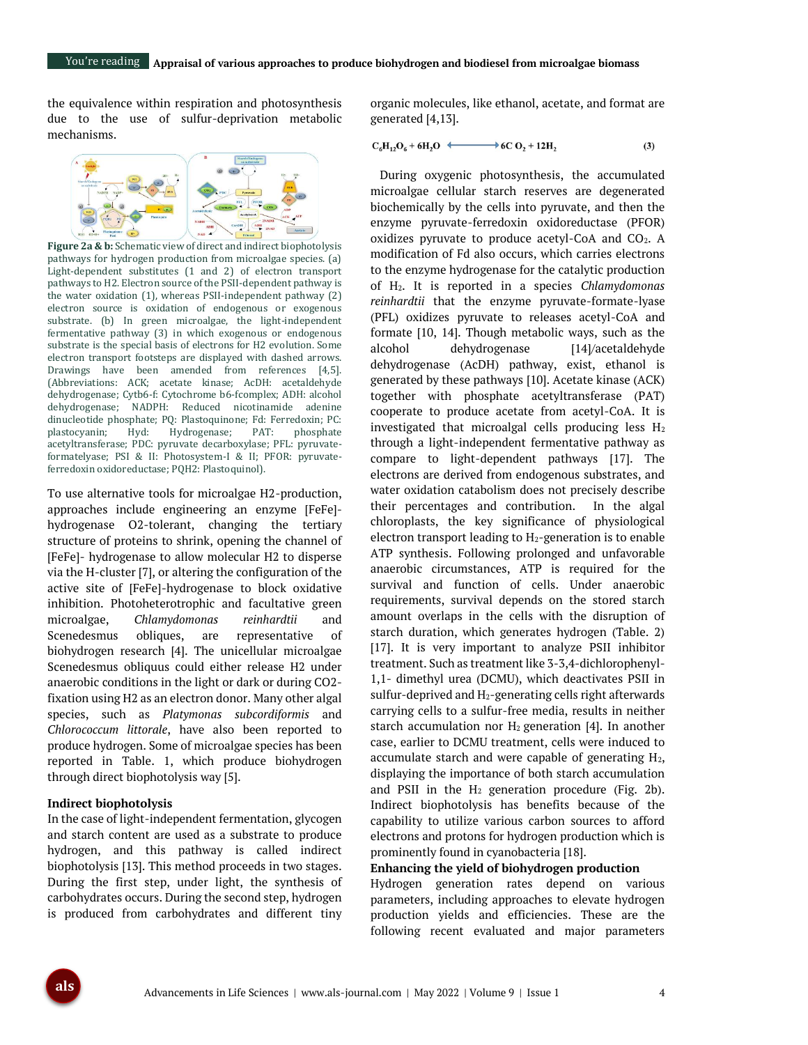the equivalence within respiration and photosynthesis due to the use of sulfur-deprivation metabolic mechanisms.



**Figure 2a & b:** Schematic view of direct and indirect biophotolysis pathways for hydrogen production from microalgae species. (a) Light-dependent substitutes (1 and 2) of electron transport pathways to H2. Electron source of the PSII-dependent pathway is the water oxidation (1), whereas PSII-independent pathway (2) electron source is oxidation of endogenous or exogenous substrate. (b) In green microalgae, the light-independent fermentative pathway (3) in which exogenous or endogenous substrate is the special basis of electrons for H2 evolution. Some electron transport footsteps are displayed with dashed arrows. Drawings have been amended from references [4,5]. (Abbreviations: ACK; acetate kinase; AcDH: acetaldehyde dehydrogenase; Cytb6-f: Cytochrome b6-fcomplex; ADH: alcohol dehydrogenase; NADPH: Reduced nicotinamide adenine dinucleotide phosphate; PQ: Plastoquinone; Fd: Ferredoxin; PC: plastocyanin; Hyd: Hydrogenase; PAT: phosphate acetyltransferase; PDC: pyruvate decarboxylase; PFL: pyruvateformatelyase; PSI & II: Photosystem-I & II; PFOR: pyruvateferredoxin oxidoreductase; PQH2: Plastoquinol).

To use alternative tools for microalgae H2-production, approaches include engineering an enzyme [FeFe] hydrogenase O2-tolerant, changing the tertiary structure of proteins to shrink, opening the channel of [FeFe]- hydrogenase to allow molecular H2 to disperse via the H-cluster [7], or altering the configuration of the active site of [FeFe]-hydrogenase to block oxidative inhibition. Photoheterotrophic and facultative green microalgae, *Chlamydomonas reinhardtii* and Scenedesmus obliques, are representative of biohydrogen research [4]. The unicellular microalgae Scenedesmus obliquus could either release H2 under anaerobic conditions in the light or dark or during CO2 fixation using H2 as an electron donor. Many other algal species, such as *Platymonas subcordiformis* and *Chlorococcum littorale*, have also been reported to produce hydrogen. Some of microalgae species has been reported in Table. 1, which produce biohydrogen through direct biophotolysis way [5].

#### **Indirect biophotolysis**

In the case of light-independent fermentation, glycogen and starch content are used as a substrate to produce hydrogen, and this pathway is called indirect biophotolysis [13]. This method proceeds in two stages. During the first step, under light, the synthesis of carbohydrates occurs. During the second step, hydrogen is produced from carbohydrates and different tiny

organic molecules, like ethanol, acetate, and format are generated [4,13].

$$
C_6H_{12}O_6 + 6H_2O \xrightarrow{\qquad \qquad } 6C O_2 + 12H_2 \tag{3}
$$

During oxygenic photosynthesis, the accumulated microalgae cellular starch reserves are degenerated biochemically by the cells into pyruvate, and then the enzyme pyruvate-ferredoxin oxidoreductase (PFOR) oxidizes pyruvate to produce acetyl-CoA and  $CO<sub>2</sub>$ . A modification of Fd also occurs, which carries electrons to the enzyme hydrogenase for the catalytic production of H2. It is reported in a species *Chlamydomonas reinhardtii* that the enzyme pyruvate-formate-lyase (PFL) oxidizes pyruvate to releases acetyl-CoA and formate [10, 14]. Though metabolic ways, such as the alcohol dehydrogenase [\[14\]](#page-10-0)/acetaldehyde dehydrogenase (AcDH) pathway, exist, ethanol is generated by these pathways [\[10\]](#page-10-1). Acetate kinase (ACK) together with phosphate acetyltransferase (PAT) cooperate to produce acetate from acetyl-CoA. It is investigated that microalgal cells producing less  $H_2$ through a light-independent fermentative pathway as compare to light-dependent pathways [17]. The electrons are derived from endogenous substrates, and water oxidation catabolism does not precisely describe their percentages and contribution. In the algal chloroplasts, the key significance of physiological electron transport leading to H2-generation is to enable ATP synthesis. Following prolonged and unfavorable anaerobic circumstances, ATP is required for the survival and function of cells. Under anaerobic requirements, survival depends on the stored starch amount overlaps in the cells with the disruption of starch duration, which generates hydrogen (Table. 2) [17]. It is very important to analyze PSII inhibitor treatment. Such as treatment like 3-3,4-dichlorophenyl-1,1- dimethyl urea (DCMU), which deactivates PSII in sulfur-deprived and H<sub>2</sub>-generating cells right afterwards carrying cells to a sulfur-free media, results in neither starch accumulation nor  $H_2$  generation [4]. In another case, earlier to DCMU treatment, cells were induced to accumulate starch and were capable of generating  $H_2$ , displaying the importance of both starch accumulation and PSII in the  $H_2$  generation procedure (Fig. 2b). Indirect biophotolysis has benefits because of the capability to utilize various carbon sources to afford electrons and protons for hydrogen production which is prominently found in cyanobacteria [18].

#### **Enhancing the yield of biohydrogen production**

Hydrogen generation rates depend on various parameters, including approaches to elevate hydrogen production yields and efficiencies. These are the following recent evaluated and major parameters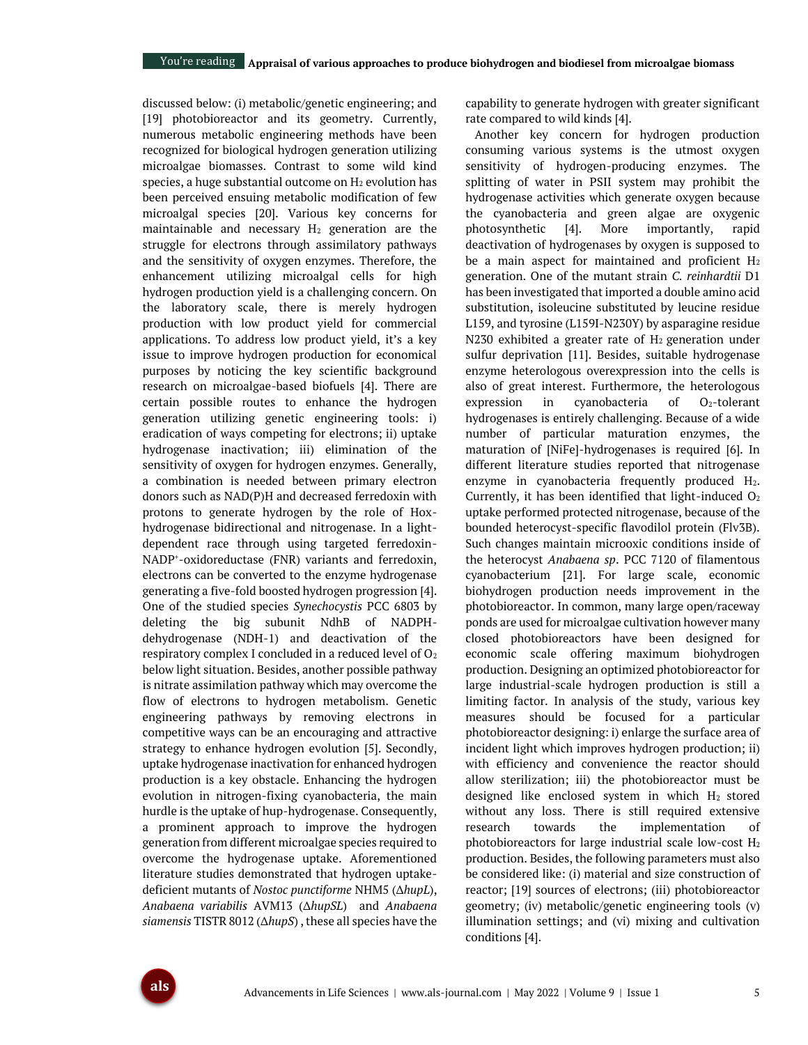discussed below: (i) metabolic/genetic engineering; and [19] photobioreactor and its geometry. Currently, numerous metabolic engineering methods have been recognized for biological hydrogen generation utilizing microalgae biomasses. Contrast to some wild kind species, a huge substantial outcome on  $H_2$  evolution has been perceived ensuing metabolic modification of few microalgal species [20]. Various key concerns for maintainable and necessary  $H_2$  generation are the struggle for electrons through assimilatory pathways and the sensitivity of oxygen enzymes. Therefore, the enhancement utilizing microalgal cells for high hydrogen production yield is a challenging concern. On the laboratory scale, there is merely hydrogen production with low product yield for commercial applications. To address low product yield, it's a key issue to improve hydrogen production for economical purposes by noticing the key scientific background research on microalgae-based biofuels [4]. There are certain possible routes to enhance the hydrogen generation utilizing genetic engineering tools: i) eradication of ways competing for electrons; ii) uptake hydrogenase inactivation; iii) elimination of the sensitivity of oxygen for hydrogen enzymes. Generally, a combination is needed between primary electron donors such as NAD(P)H and decreased ferredoxin with protons to generate hydrogen by the role of Hoxhydrogenase bidirectional and nitrogenase. In a lightdependent race through using targeted ferredoxin-NADP<sup>+</sup> -oxidoreductase (FNR) variants and ferredoxin, electrons can be converted to the enzyme hydrogenase generating a five-fold boosted hydrogen progression [4]. One of the studied species *Synechocystis* PCC 6803 by deleting the big subunit NdhB of NADPHdehydrogenase (NDH-1) and deactivation of the respiratory complex I concluded in a reduced level of  $O<sub>2</sub>$ below light situation. Besides, another possible pathway is nitrate assimilation pathway which may overcome the flow of electrons to hydrogen metabolism. Genetic engineering pathways by removing electrons in competitive ways can be an encouraging and attractive strategy to enhance hydrogen evolution [5]. Secondly, uptake hydrogenase inactivation for enhanced hydrogen production is a key obstacle. Enhancing the hydrogen evolution in nitrogen-fixing cyanobacteria, the main hurdle is the uptake of hup-hydrogenase. Consequently, a prominent approach to improve the hydrogen generation from different microalgae species required to overcome the hydrogenase uptake. Aforementioned literature studies demonstrated that hydrogen uptakedeficient mutants of *Nostoc punctiforme* NHM5 (∆*hupL*), *Anabaena variabilis* AVM13 (∆*hupSL*) and *Anabaena siamensis* TISTR 8012 (∆*hupS*) , these all species have the capability to generate hydrogen with greater significant rate compared to wild kinds [4].

Another key concern for hydrogen production consuming various systems is the utmost oxygen sensitivity of hydrogen-producing enzymes. The splitting of water in PSII system may prohibit the hydrogenase activities which generate oxygen because the cyanobacteria and green algae are oxygenic photosynthetic [4]. More importantly, rapid deactivation of hydrogenases by oxygen is supposed to be a main aspect for maintained and proficient  $H_2$ generation. One of the mutant strain *C. reinhardtii* D1 has been investigated that imported a double amino acid substitution, isoleucine substituted by leucine residue L159, and tyrosine (L159I-N230Y) by asparagine residue N230 exhibited a greater rate of  $H_2$  generation under sulfur deprivation [11]. Besides, suitable hydrogenase enzyme heterologous overexpression into the cells is also of great interest. Furthermore, the heterologous expression in cyanobacteria of  $O<sub>2</sub>$ -tolerant hydrogenases is entirely challenging. Because of a wide number of particular maturation enzymes, the maturation of [NiFe]-hydrogenases is required [6]. In different literature studies reported that nitrogenase enzyme in cyanobacteria frequently produced  $H_2$ . Currently, it has been identified that light-induced  $O<sub>2</sub>$ uptake performed protected nitrogenase, because of the bounded heterocyst-specific flavodilol protein (Flv3B). Such changes maintain microoxic conditions inside of the heterocyst *Anabaena sp*. PCC 7120 of filamentous cyanobacterium [21]. For large scale, economic biohydrogen production needs improvement in the photobioreactor. In common, many large open/raceway ponds are used for microalgae cultivation however many closed photobioreactors have been designed for economic scale offering maximum biohydrogen production. Designing an optimized photobioreactor for large industrial-scale hydrogen production is still a limiting factor. In analysis of the study, various key measures should be focused for a particular photobioreactor designing: i) enlarge the surface area of incident light which improves hydrogen production; ii) with efficiency and convenience the reactor should allow sterilization; iii) the photobioreactor must be designed like enclosed system in which  $H_2$  stored without any loss. There is still required extensive research towards the implementation of photobioreactors for large industrial scale low-cost H<sup>2</sup> production. Besides, the following parameters must also be considered like: (i) material and size construction of reactor; [19] sources of electrons; (iii) photobioreactor geometry; (iv) metabolic/genetic engineering tools (v) illumination settings; and (vi) mixing and cultivation conditions [4].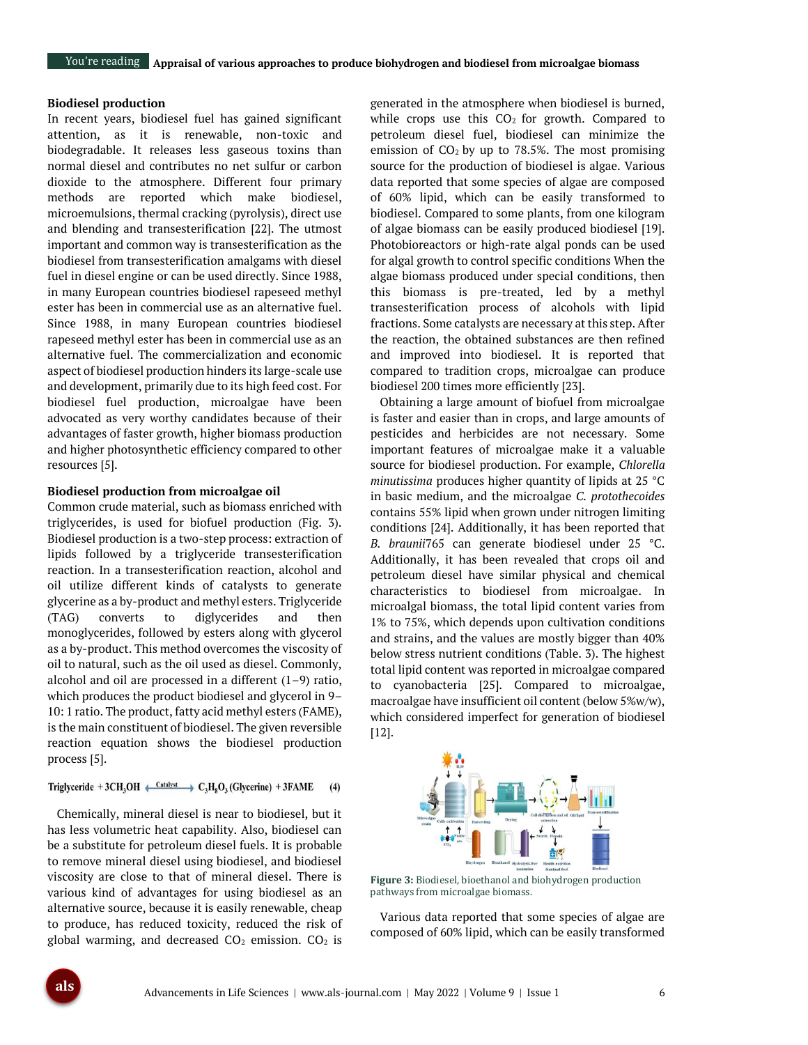#### **Biodiesel production**

In recent years, biodiesel fuel has gained significant attention, as it is renewable, non-toxic and biodegradable. It releases less gaseous toxins than normal diesel and contributes no net sulfur or carbon dioxide to the atmosphere. Different four primary methods are reported which make biodiesel, microemulsions, thermal cracking (pyrolysis), direct use and blending and transesterification [22]. The utmost important and common way is transesterification as the biodiesel from transesterification amalgams with diesel fuel in diesel engine or can be used directly. Since 1988, in many European countries biodiesel rapeseed methyl ester has been in commercial use as an alternative fuel. Since 1988, in many European countries biodiesel rapeseed methyl ester has been in commercial use as an alternative fuel. The commercialization and economic aspect of biodiesel production hinders its large-scale use and development, primarily due to its high feed cost. For biodiesel fuel production, microalgae have been advocated as very worthy candidates because of their advantages of faster growth, higher biomass production and higher photosynthetic efficiency compared to other resources [5].

#### **Biodiesel production from microalgae oil**

Common crude material, such as biomass enriched with triglycerides, is used for biofuel production (Fig. 3). Biodiesel production is a two-step process: extraction of lipids followed by a triglyceride transesterification reaction. In a transesterification reaction, alcohol and oil utilize different kinds of catalysts to generate glycerine as a by-product and methyl esters. Triglyceride (TAG) converts to diglycerides and then monoglycerides, followed by esters along with glycerol as a by-product. This method overcomes the viscosity of oil to natural, such as the oil used as diesel. Commonly, alcohol and oil are processed in a different  $(1-9)$  ratio, which produces the product biodiesel and glycerol in 9– 10: 1 ratio. The product, fatty acid methyl esters (FAME), is the main constituent of biodiesel. The given reversible reaction equation shows the biodiesel production process [5].

#### Triglyceride + 3CH<sub>3</sub>OH  $\xrightarrow{\text{Catalyst}} C_3H_8O_3$  (Glycerine) + 3FAME  $(4)$

Chemically, mineral diesel is near to biodiesel, but it has less volumetric heat capability. Also, biodiesel can be a substitute for petroleum diesel fuels. It is probable to remove mineral diesel using biodiesel, and biodiesel viscosity are close to that of mineral diesel. There is various kind of advantages for using biodiesel as an alternative source, because it is easily renewable, cheap to produce, has reduced toxicity, reduced the risk of global warming, and decreased  $CO<sub>2</sub>$  emission.  $CO<sub>2</sub>$  is

generated in the atmosphere when biodiesel is burned, while crops use this  $CO<sub>2</sub>$  for growth. Compared to petroleum diesel fuel, biodiesel can minimize the emission of  $CO<sub>2</sub>$  by up to 78.5%. The most promising source for the production of biodiesel is algae. Various data reported that some species of algae are composed of 60% lipid, which can be easily transformed to biodiesel. Compared to some plants, from one kilogram of algae biomass can be easily produced biodiesel [19]. Photobioreactors or high-rate algal ponds can be used for algal growth to control specific conditions When the algae biomass produced under special conditions, then this biomass is pre-treated, led by a methyl transesterification process of alcohols with lipid fractions. Some catalysts are necessary at this step. After the reaction, the obtained substances are then refined and improved into biodiesel. It is reported that compared to tradition crops, microalgae can produce biodiesel 200 times more efficiently [23].

Obtaining a large amount of biofuel from microalgae is faster and easier than in crops, and large amounts of pesticides and herbicides are not necessary. Some important features of microalgae make it a valuable source for biodiesel production. For example, *Chlorella minutissima* produces higher quantity of lipids at 25 °C in basic medium, and the microalgae *C. protothecoides* contains 55% lipid when grown under nitrogen limiting conditions [24]. Additionally, it has been reported that *B. braunii*765 can generate biodiesel under 25 °C. Additionally, it has been revealed that crops oil and petroleum diesel have similar physical and chemical characteristics to biodiesel from microalgae. In microalgal biomass, the total lipid content varies from 1% to 75%, which depends upon cultivation conditions and strains, and the values are mostly bigger than 40% below stress nutrient conditions (Table. 3). The highest total lipid content was reported in microalgae compared to cyanobacteria [25]. Compared to microalgae, macroalgae have insufficient oil content (below 5%w/w), which considered imperfect for generation of biodiesel [12].



**Figure 3:** Biodiesel, bioethanol and biohydrogen production pathways from microalgae biomass.

Various data reported that some species of algae are composed of 60% lipid, which can be easily transformed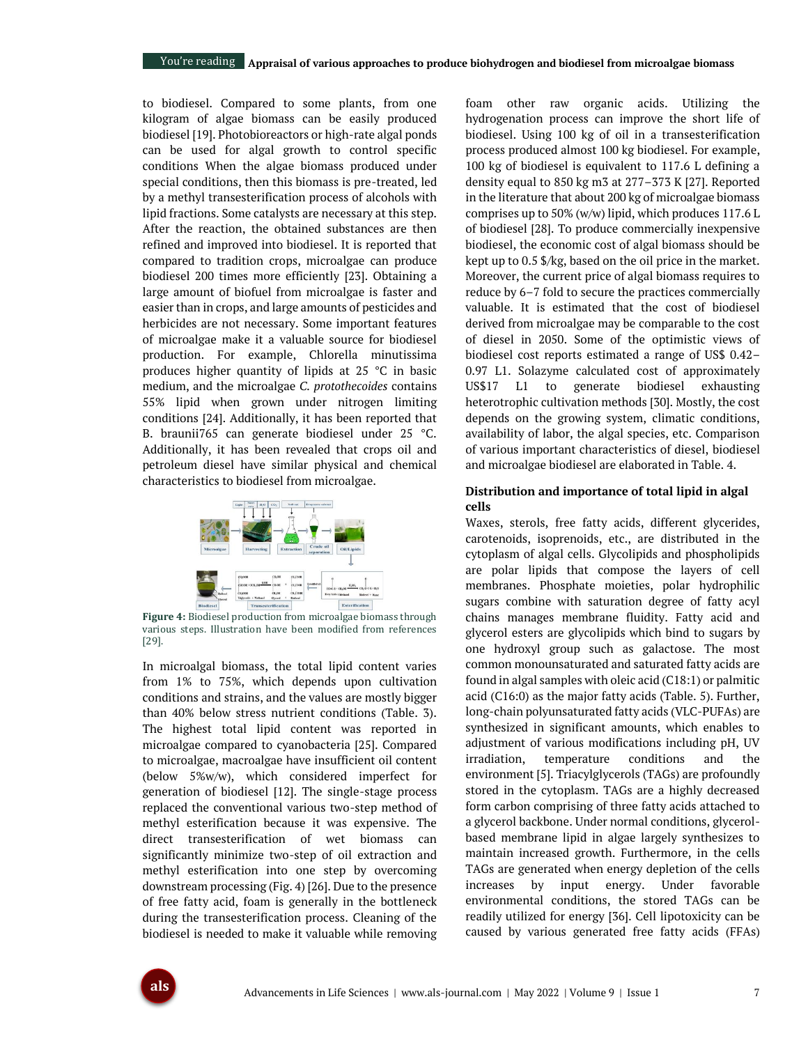to biodiesel. Compared to some plants, from one kilogram of algae biomass can be easily produced biodiesel [19]. Photobioreactors or high-rate algal ponds can be used for algal growth to control specific conditions When the algae biomass produced under special conditions, then this biomass is pre-treated, led by a methyl transesterification process of alcohols with lipid fractions. Some catalysts are necessary at this step. After the reaction, the obtained substances are then refined and improved into biodiesel. It is reported that compared to tradition crops, microalgae can produce biodiesel 200 times more efficiently [23]. Obtaining a large amount of biofuel from microalgae is faster and easier than in crops, and large amounts of pesticides and herbicides are not necessary. Some important features of microalgae make it a valuable source for biodiesel production. For example, Chlorella minutissima produces higher quantity of lipids at 25 °C in basic medium, and the microalgae *C. protothecoides* contains 55% lipid when grown under nitrogen limiting conditions [24]. Additionally, it has been reported that B. braunii765 can generate biodiesel under 25 °C. Additionally, it has been revealed that crops oil and petroleum diesel have similar physical and chemical characteristics to biodiesel from microalgae.



**Figure 4:** Biodiesel production from microalgae biomass through various steps. Illustration have been modified from references [29].

In microalgal biomass, the total lipid content varies from 1% to 75%, which depends upon cultivation conditions and strains, and the values are mostly bigger than 40% below stress nutrient conditions (Table. 3). The highest total lipid content was reported in microalgae compared to cyanobacteria [25]. Compared to microalgae, macroalgae have insufficient oil content (below 5%w/w), which considered imperfect for generation of biodiesel [12]. The single-stage process replaced the conventional various two-step method of methyl esterification because it was expensive. The direct transesterification of wet biomass can significantly minimize two-step of oil extraction and methyl esterification into one step by overcoming downstream processing (Fig. 4) [26]. Due to the presence of free fatty acid, foam is generally in the bottleneck during the transesterification process. Cleaning of the biodiesel is needed to make it valuable while removing foam other raw organic acids. Utilizing the hydrogenation process can improve the short life of biodiesel. Using 100 kg of oil in a transesterification process produced almost 100 kg biodiesel. For example, 100 kg of biodiesel is equivalent to 117.6 L defining a density equal to 850 kg m3 at 277–373 K [27]. Reported in the literature that about 200 kg of microalgae biomass comprises up to 50% (w/w) lipid, which produces 117.6 L of biodiesel [28]. To produce commercially inexpensive biodiesel, the economic cost of algal biomass should be kept up to 0.5 \$/kg, based on the oil price in the market. Moreover, the current price of algal biomass requires to reduce by 6–7 fold to secure the practices commercially valuable. It is estimated that the cost of biodiesel derived from microalgae may be comparable to the cost of diesel in 2050. Some of the optimistic views of biodiesel cost reports estimated a range of US\$ 0.42– 0.97 L1. Solazyme calculated cost of approximately US\$17 L1 to generate biodiesel exhausting heterotrophic cultivation methods [30]. Mostly, the cost depends on the growing system, climatic conditions, availability of labor, the algal species, etc. Comparison of various important characteristics of diesel, biodiesel and microalgae biodiesel are elaborated in Table. 4.

### **Distribution and importance of total lipid in algal cells**

Waxes, sterols, free fatty acids, different glycerides, carotenoids, isoprenoids, etc., are distributed in the cytoplasm of algal cells. Glycolipids and phospholipids are polar lipids that compose the layers of cell membranes. Phosphate moieties, polar hydrophilic sugars combine with saturation degree of fatty acyl chains manages membrane fluidity. Fatty acid and glycerol esters are glycolipids which bind to sugars by one hydroxyl group such as galactose. The most common monounsaturated and saturated fatty acids are found in algal samples with oleic acid (C18:1) or palmitic acid (C16:0) as the major fatty acids (Table. 5). Further, long-chain polyunsaturated fatty acids (VLC-PUFAs) are synthesized in significant amounts, which enables to adjustment of various modifications including pH, UV irradiation, temperature conditions and the environment [5]. Triacylglycerols (TAGs) are profoundly stored in the cytoplasm. TAGs are a highly decreased form carbon comprising of three fatty acids attached to a glycerol backbone. Under normal conditions, glycerolbased membrane lipid in algae largely synthesizes to maintain increased growth. Furthermore, in the cells TAGs are generated when energy depletion of the cells increases by input energy. Under favorable environmental conditions, the stored TAGs can be readily utilized for energy [36]. Cell lipotoxicity can be caused by various generated free fatty acids (FFAs)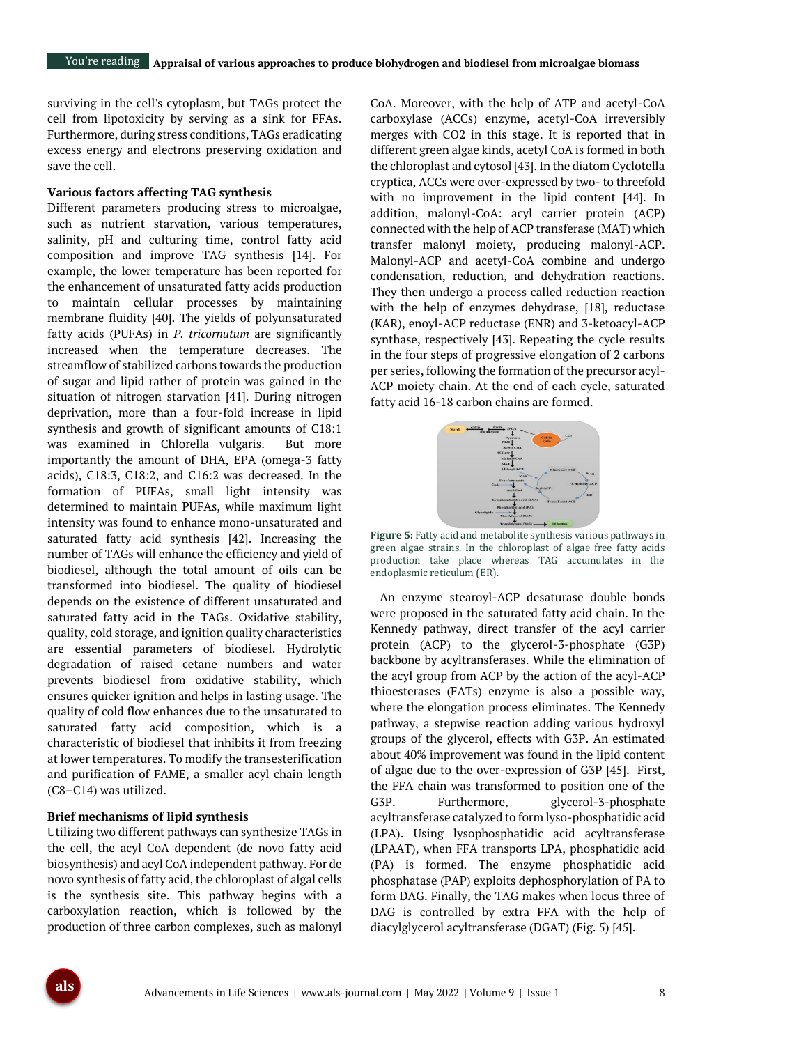surviving in the cell's cytoplasm, but TAGs protect the cell from lipotoxicity by serving as a sink for FFAs. Furthermore, during stress conditions, TAGs eradicating excess energy and electrons preserving oxidation and save the cell.

#### **Various factors affecting TAG synthesis**

Different parameters producing stress to microalgae, such as nutrient starvation, various temperatures, salinity, pH and culturing time, control fatty acid composition and improve TAG synthesis [14]. For example, the lower temperature has been reported for the enhancement of unsaturated fatty acids production to maintain cellular processes by maintaining membrane fluidity [40]. The yields of polyunsaturated fatty acids (PUFAs) in *P. tricornutum* are significantly increased when the temperature decreases. The streamflow of stabilized carbons towards the production of sugar and lipid rather of protein was gained in the situation of nitrogen starvation [41]. During nitrogen deprivation, more than a four-fold increase in lipid synthesis and growth of significant amounts of C18:1 was examined in Chlorella vulgaris. But more importantly the amount of DHA, EPA (omega-3 fatty acids), C18:3, C18:2, and C16:2 was decreased. In the formation of PUFAs, small light intensity was determined to maintain PUFAs, while maximum light intensity was found to enhance mono-unsaturated and saturated fatty acid synthesis [42]. Increasing the number of TAGs will enhance the efficiency and yield of biodiesel, although the total amount of oils can be transformed into biodiesel. The quality of biodiesel depends on the existence of different unsaturated and saturated fatty acid in the TAGs. Oxidative stability, quality, cold storage, and ignition quality characteristics are essential parameters of biodiesel. Hydrolytic degradation of raised cetane numbers and water prevents biodiesel from oxidative stability, which ensures quicker ignition and helps in lasting usage. The quality of cold flow enhances due to the unsaturated to saturated fatty acid composition, which is a characteristic of biodiesel that inhibits it from freezing at lower temperatures. To modify the transesterification and purification of FAME, a smaller acyl chain length (C8–C14) was utilized.

#### **Brief mechanisms of lipid synthesis**

Utilizing two different pathways can synthesize TAGs in the cell, the acyl CoA dependent (de novo fatty acid biosynthesis) and acyl CoA independent pathway. For de novo synthesis of fatty acid, the chloroplast of algal cells is the synthesis site. This pathway begins with a carboxylation reaction, which is followed by the production of three carbon complexes, such as malonyl

CoA. Moreover, with the help of ATP and acetyl-CoA carboxylase (ACCs) enzyme, acetyl-CoA irreversibly merges with CO2 in this stage. It is reported that in different green algae kinds, acetyl CoA is formed in both the chloroplast and cytosol [43]. In the diatom Cyclotella cryptica, ACCs were over-expressed by two- to threefold with no improvement in the lipid content [44]. In addition, malonyl-CoA: acyl carrier protein (ACP) connected with the help of ACP transferase (MAT) which transfer malonyl moiety, producing malonyl-ACP. Malonyl-ACP and acetyl-CoA combine and undergo condensation, reduction, and dehydration reactions. They then undergo a process called reduction reaction with the help of enzymes dehydrase, [18], reductase (KAR), enoyl-ACP reductase (ENR) and 3-ketoacyl-ACP synthase, respectively [43]. Repeating the cycle results in the four steps of progressive elongation of 2 carbons per series, following the formation of the precursor acyl-ACP moiety chain. At the end of each cycle, saturated fatty acid 16-18 carbon chains are formed.



**Figure 5:** Fatty acid and metabolite synthesis various pathways in green algae strains. In the chloroplast of algae free fatty acids production take place whereas TAG accumulates in the endoplasmic reticulum (ER).

An enzyme stearoyl-ACP desaturase double bonds were proposed in the saturated fatty acid chain. In the Kennedy pathway, direct transfer of the acyl carrier protein (ACP) to the glycerol-3-phosphate (G3P) backbone by acyltransferases. While the elimination of the acyl group from ACP by the action of the acyl-ACP thioesterases (FATs) enzyme is also a possible way, where the elongation process eliminates. The Kennedy pathway, a stepwise reaction adding various hydroxyl groups of the glycerol, effects with G3P. An estimated about 40% improvement was found in the lipid content of algae due to the over-expression of G3P [45]. First, the FFA chain was transformed to position one of the G3P. Furthermore, glycerol-3-phosphate acyltransferase catalyzed to form lyso-phosphatidic acid (LPA). Using lysophosphatidic acid acyltransferase (LPAAT), when FFA transports LPA, phosphatidic acid (PA) is formed. The enzyme phosphatidic acid phosphatase (PAP) exploits dephosphorylation of PA to form DAG. Finally, the TAG makes when locus three of DAG is controlled by extra FFA with the help of diacylglycerol acyltransferase (DGAT) (Fig. 5) [45].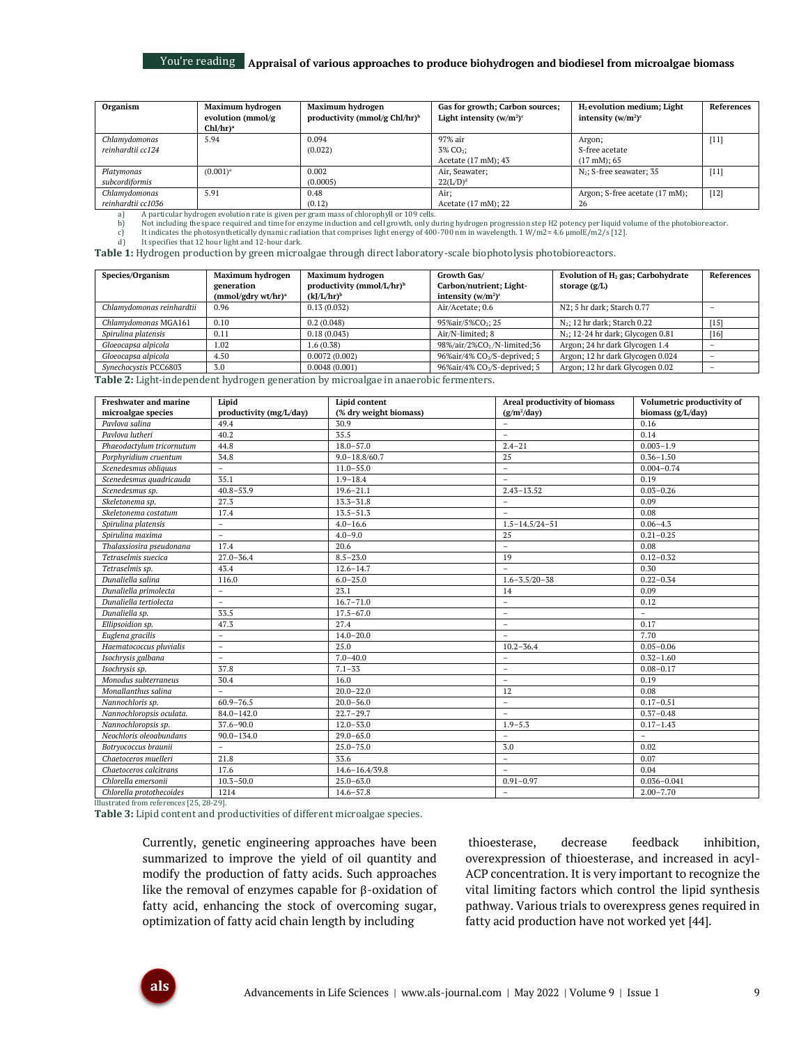| Organism                            | Maximum hydrogen<br>evolution (mmol/g<br>$Chl/hr$ <sup>a</sup> | Maximum hydrogen<br>productivity (mmol/g $Chl/hr$ ) <sup>b</sup> | Gas for growth; Carbon sources;<br>Light intensity $(w/m^2)^c$ | $H2$ evolution medium; Light<br>intensity $(w/m^2)^c$ | References |
|-------------------------------------|----------------------------------------------------------------|------------------------------------------------------------------|----------------------------------------------------------------|-------------------------------------------------------|------------|
| Chlamydomonas<br>reinhardtii cc124  | 5.94                                                           | 0.094<br>(0.022)                                                 | 97% air<br>3% CO <sub>2</sub> ;<br>Acetate (17 mM); 43         | Argon;<br>S-free acetate<br>$(17 \text{ mM})$ ; 65    | $[11]$     |
| Platymonas<br>subcordiformis        | $(0.001)$ <sup>a</sup>                                         | 0.002<br>(0.0005)                                                | Air, Seawater;<br>$22(L/D)^d$                                  | $N_2$ ; S-free seawater; 35                           | $[11]$     |
| Chlamydomonas<br>reinhardtii cc1036 | 5.91                                                           | 0.48<br>(0.12)                                                   | Air:<br>Acetate (17 mM); 22                                    | Argon; S-free acetate (17 mM);<br>26                  | $[12]$     |

a) A particular hydrogen evolution rate is given per gram mass of chlorophyll or 109 cells.<br>b) Not including the space required and time for enzyme induction and cell growth, only di

b) Not including the space required and time for enzyme induction and cell growth, only during hydrogen progression step H2 potency per liquid volume of the photobioreactor.<br>c) It indicates the photosynthetically dynamic r

c) It indicates the photosynthetically dynamic radia d) It specifies that 12 hour light and 12-hour dark.

**Table 1:** Hydrogen production by green microalgae through direct laboratory-scale biophotolysis photobioreactors.

| Species/Organism          | Maximum hydrogen<br>generation<br>$(mmol/gdry wt/hr)^a$ | Maximum hydrogen<br>productivity (mmol/L/hr) <sup>b</sup><br>$(kJ/L/hr)^b$ | Growth Gas/<br>Carbon/nutrient; Light-<br>intensity $(w/m^2)^c$ | Evolution of H <sub>2</sub> gas; Carbohydrate<br>storage $(g/L)$ | References |
|---------------------------|---------------------------------------------------------|----------------------------------------------------------------------------|-----------------------------------------------------------------|------------------------------------------------------------------|------------|
| Chlamydomonas reinhardtii | 0.96                                                    | 0.13(0.032)                                                                | Air/Acetate: 0.6                                                | N2; 5 hr dark; Starch 0.77                                       |            |
| Chlamydomonas MGA161      | 0.10                                                    | 0.2(0.048)                                                                 | 95%air/5%CO <sub>2</sub> ; 25                                   | $N_2$ ; 12 hr dark; Starch 0.22                                  | [15]       |
| Spirulina platensis       | 0.11                                                    | 0.18(0.043)                                                                | Air/N-limited; 8                                                | $N_2$ ; 12-24 hr dark; Glycogen 0.81                             | [16]       |
| Gloeocapsa alpicola       | 1.02                                                    | 1.6(0.38)                                                                  | 98%/air/2%CO <sub>2</sub> /N-limited;36                         | Argon; 24 hr dark Glycogen 1.4                                   |            |
| Gloeocapsa alpicola       | 4.50                                                    | 0.0072(0.002)                                                              | 96%air/4% CO2/S-deprived; 5                                     | Argon; 12 hr dark Glycogen 0.024                                 |            |
| Synechocystis PCC6803     | 3.0                                                     | 0.0048(0.001)                                                              | 96%air/4% CO <sub>2</sub> /S-deprived; 5                        | Argon; 12 hr dark Glycogen 0.02                                  |            |

**Table 2:** Light-independent hydrogen generation by microalgae in anaerobic fermenters.

| <b>Freshwater and marine</b>         | Lipid                           | Lipid content                  | Areal productivity of biomass | Volumetric productivity of |
|--------------------------------------|---------------------------------|--------------------------------|-------------------------------|----------------------------|
| microalgae species<br>Pavlova salina | productivity (mg/L/day)<br>49.4 | (% dry weight biomass)<br>30.9 | $(g/m^2/day)$<br>$\sim$       | biomass (g/L/day)<br>0.16  |
| Pavlova lutheri                      |                                 | 35.5                           | $\equiv$                      |                            |
|                                      | 40.2                            |                                |                               | 0.14<br>$0.003 - 1.9$      |
| Phaeodactylum tricornutum            | 44.8                            | $18.0 - 57.0$                  | $2.4 - 21$                    |                            |
| Porphyridium cruentum                | 34.8                            | $9.0 - 18.8 / 60.7$            | 25                            | $0.36 - 1.50$              |
| Scenedesmus obliquus                 | $\overline{a}$                  | $11.0 - 55.0$                  | $\bar{a}$                     | $0.004 - 0.74$             |
| Scenedesmus quadricauda              | 35.1                            | $1.9 - 18.4$                   | $\overline{a}$                | 0.19                       |
| Scenedesmus sp.                      | $40.8 - 53.9$                   | $19.6 - 21.1$                  | $2.43 - 13.52$                | $0.03 - 0.26$              |
| Skeletonema sp.                      | 27.3                            | $13.3 - 31.8$                  | $\overline{\phantom{a}}$      | 0.09                       |
| Skeletonema costatum                 | 17.4                            | $13.5 - 51.3$                  | $\equiv$                      | 0.08                       |
| Spirulina platensis                  | $\equiv$                        | $4.0 - 16.6$                   | $1.5 - 14.5 / 24 - 51$        | $0.06 - 4.3$               |
| Spirulina maxima                     | $\overline{a}$                  | $4.0 - 9.0$                    | 25                            | $0.21 - 0.25$              |
| Thalassiosira pseudonana             | 17.4                            | 20.6                           | $\overline{a}$                | 0.08                       |
| Tetraselmis suecica                  | $27.0 - 36.4$                   | $8.5 - 23.0$                   | 19                            | $0.12 - 0.32$              |
| Tetraselmis sp.                      | 43.4                            | $12.6 - 14.7$                  | $\equiv$                      | 0.30                       |
| Dunaliella salina                    | 116.0                           | $6.0 - 25.0$                   | $1.6 - 3.5/20 - 38$           | $0.22 - 0.34$              |
| Dunaliella primolecta                | $\overline{\phantom{a}}$        | 23.1                           | 14                            | 0.09                       |
| Dunaliella tertiolecta               | $\equiv$                        | $16.7 - 71.0$                  | $\qquad \qquad -$             | 0.12                       |
| Dunaliella sp.                       | 33.5                            | $17.5 - 67.0$                  | $\overline{\phantom{a}}$      | $\sim$                     |
| Ellipsoidion sp.                     | 47.3                            | 27.4                           | $\overline{\phantom{a}}$      | 0.17                       |
| Euglena gracilis                     | $\equiv$                        | $14.0 - 20.0$                  | $\overline{a}$                | 7.70                       |
| Haematococcus pluvialis              | $\equiv$                        | 25.0                           | $10.2 - 36.4$                 | $0.05 - 0.06$              |
| Isochrysis galbana                   | $\overline{a}$                  | $7.0 - 40.0$                   | $\overline{a}$                | $0.32 - 1.60$              |
| Isochrysis sp.                       | 37.8                            | $7.1 - 33$                     | $\sim$                        | $0.08 - 0.17$              |
| Monodus subterraneus                 | 30.4                            | 16.0                           | $\overline{\phantom{a}}$      | 0.19                       |
| Monallanthus salina                  | $\overline{a}$                  | $20.0 - 22.0$                  | 12                            | 0.08                       |
| Nannochloris sp.                     | $60.9 - 76.5$                   | $20.0 - 56.0$                  | $\bar{\phantom{a}}$           | $0.17 - 0.51$              |
| Nannochloropsis oculata.             | $84.0 - 142.0$                  | $22.7 - 29.7$                  | $\equiv$                      | $0.37 - 0.48$              |
| Nannochloropsis sp.                  | $37.6 - 90.0$                   | $12.0 - 53.0$                  | $1.9 - 5.3$                   | $0.17 - 1.43$              |
| Neochloris oleoabundans              | $90.0 - 134.0$                  | $29.0 - 65.0$                  | $\overline{a}$                | $\overline{\phantom{0}}$   |
| Botryococcus braunii                 | $\equiv$                        | $25.0 - 75.0$                  | 3.0                           | 0.02                       |
| Chaetoceros muelleri                 | 21.8                            | 33.6                           | $\overline{a}$                | 0.07                       |
| Chaetoceros calcitrans               | 17.6                            | $14.6 - 16.4 / 39.8$           | $\equiv$                      | 0.04                       |
| Chlorella emersonii                  | $10.3 - 50.0$                   | $25.0 - 63.0$                  | $0.91 - 0.97$                 | $0.036 - 0.041$            |
| Chlorella protothecoides             | 1214                            | $14.6 - 57.8$                  | $\equiv$                      | $2.00 - 7.70$              |

Illustrated from references [25, 28-29].

**Table 3:** Lipid content and productivities of different microalgae species.

Currently, genetic engineering approaches have been summarized to improve the yield of oil quantity and modify the production of fatty acids. Such approaches like the removal of enzymes capable for β-oxidation of fatty acid, enhancing the stock of overcoming sugar, optimization of fatty acid chain length by including

thioesterase, decrease feedback inhibition, overexpression of thioesterase, and increased in acyl-ACP concentration. It is very important to recognize the vital limiting factors which control the lipid synthesis pathway. Various trials to overexpress genes required in fatty acid production have not worked yet [44].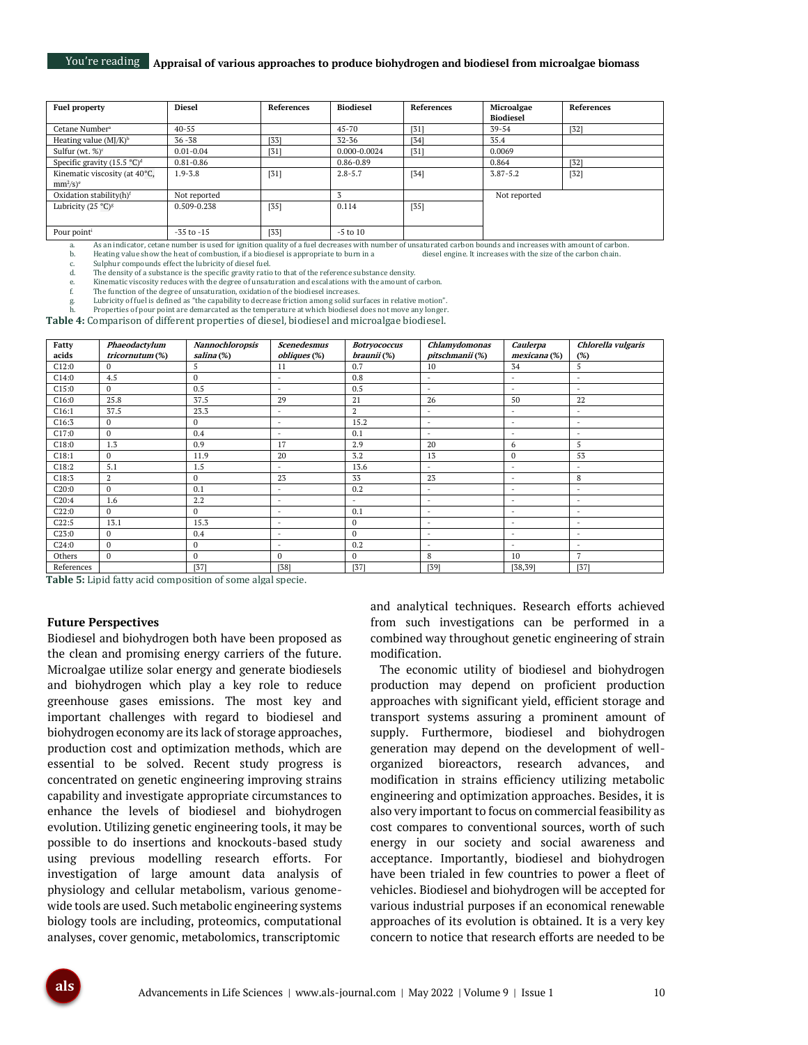| <b>Fuel property</b>                  | <b>Diesel</b>  | <b>References</b> | <b>Biodiesel</b> | References | Microalgae       | References |
|---------------------------------------|----------------|-------------------|------------------|------------|------------------|------------|
|                                       |                |                   |                  |            | <b>Biodiesel</b> |            |
| Cetane Number <sup>a</sup>            | $40 - 55$      |                   | $45 - 70$        | [31]       | 39-54            | $[32]$     |
| Heating value $(MJ/K)^b$              | $36 - 38$      | $[33]$            | $32 - 36$        | [34]       | 35.4             |            |
| Sulfur (wt. $\%$ ) <sup>c</sup>       | $0.01 - 0.04$  | [31]              | 0.000-0.0024     | [31]       | 0.0069           |            |
| Specific gravity $(15.5 \degree C)^d$ | $0.81 - 0.86$  |                   | 0.86-0.89        |            | 0.864            | $[32]$     |
| Kinematic viscosity (at 40°C,         | $1.9 - 3.8$    | $[31]$            | $2.8 - 5.7$      | $[34]$     | $3.87 - 5.2$     | $[32]$     |
| $mm^2/s)^e$                           |                |                   |                  |            |                  |            |
| Oxidation stability(h)f               | Not reported   |                   |                  |            | Not reported     |            |
| Lubricity (25 °C) <sup>g</sup>        | 0.509-0.238    | $[35]$            | 0.114            | $[35]$     |                  |            |
|                                       |                |                   |                  |            |                  |            |
| Pour point <sup>i</sup>               | $-35$ to $-15$ | $[33]$            | $-5$ to $10$     |            |                  |            |

a. As an indicator, cetane number is used for ignition quality of a fuel decreases with number of unsaturated carbon bounds and increases with amount of carbon. Heating value show the heat of combustion, if a biodiesel is appropriate to burn in a

c. Sulphur compounds effect the lubricity of diesel fuel.<br>d. The density of a substance is the specific gravity ratio The density of a substance is the specific gravity ratio to that of the reference substance density.

e. Kinematic viscosity reduces with the degree of unsaturation and escalations with the amount of carbon.

The function of the degree of unsaturation, oxidation of the biodiesel increases.

g. Lubricity of fuel is defined as "the capability to decrease friction among solid surfaces in relative motion". Properties of pour point are demarcated as the temperature at which biodiesel does not move any longer.

**Table 4:** Comparison of different properties of diesel, biodiesel and microalgae biodiesel.

| Fatty      | Phaeodactylum   | Nannochloropsis | <b>Scenedesmus</b>       | <b>Botryococcus</b> | Chlamydomonas            | Caulerpa                 | Chlorella vulgaris       |
|------------|-----------------|-----------------|--------------------------|---------------------|--------------------------|--------------------------|--------------------------|
| acids      | tricornutum (%) | salina (%)      | obliques (%)             | braunii (%)         | pitschmanii (%)          | mexicana (%)             | (%)                      |
| C12:0      | $\Omega$        | 5               | 11                       | 0.7                 | 10                       | 34                       | 5                        |
| C14:0      | 4.5             | $\mathbf{0}$    | $\sim$                   | 0.8                 | $\sim$                   | $\overline{\phantom{a}}$ | $\overline{\phantom{a}}$ |
| C15:0      | $\mathbf{0}$    | 0.5             | $\overline{\phantom{a}}$ | 0.5                 | $\sim$                   | $\overline{\phantom{a}}$ | $\overline{\phantom{a}}$ |
| C16:0      | 25.8            | 37.5            | 29                       | 21                  | 26                       | 50                       | 22                       |
| C16:1      | 37.5            | 23.3            | $\overline{\phantom{a}}$ | $\overline{2}$      | $\overline{\phantom{a}}$ | $\overline{\phantom{a}}$ | ٠                        |
| C16:3      | $\Omega$        | $\mathbf{0}$    | $\overline{\phantom{a}}$ | 15.2                | $\sim$                   | $\overline{\phantom{a}}$ | $\overline{\phantom{a}}$ |
| C17:0      | $\Omega$        | 0.4             | $\overline{\phantom{0}}$ | 0.1                 | ÷                        | $\overline{\phantom{a}}$ | ٠                        |
| C18:0      | 1.3             | 0.9             | 17                       | 2.9                 | 20                       | 6                        | 5                        |
| C18:1      | $\Omega$        | 11.9            | 20                       | 3.2                 | 13                       | $\Omega$                 | 53                       |
| C18:2      | 5.1             | 1.5             | $\overline{\phantom{a}}$ | 13.6                | $\overline{\phantom{a}}$ | $\overline{\phantom{a}}$ | ÷                        |
| C18:3      | $\mathbf{2}$    | $\Omega$        | 23                       | 33                  | 23                       | $\overline{\phantom{a}}$ | 8                        |
| C20:0      | $\Omega$        | 0.1             | $\overline{\phantom{a}}$ | 0.2                 | ÷                        | $\overline{\phantom{a}}$ | $\overline{\phantom{a}}$ |
| C20:4      | 1.6             | 2.2             | $\overline{\phantom{a}}$ | $\sim$              | $\sim$                   | $\overline{\phantom{a}}$ | ٠                        |
| C22:0      | $\Omega$        | $\mathbf{0}$    | $\sim$                   | 0.1                 | $\sim$                   | $\overline{\phantom{a}}$ | ٠                        |
| C22:5      | 13.1            | 15.3            | $\sim$                   | $\mathbf{0}$        | $\sim$                   | $\overline{\phantom{a}}$ | $\overline{\phantom{a}}$ |
| C23:0      | $\mathbf{0}$    | 0.4             | $\equiv$                 | $\mathbf{0}$        | $\sim$                   | $\overline{\phantom{a}}$ | $\blacksquare$           |
| C24:0      | $\Omega$        | $\mathbf{0}$    | $\overline{\phantom{a}}$ | 0.2                 | ÷                        | $\overline{\phantom{a}}$ | ۰                        |
| Others     | $\Omega$        | $\mathbf{0}$    | $\mathbf{0}$             | $\mathbf{0}$        | 8                        | 10                       | 7                        |
| References |                 | [37]            | $[38]$                   | $[37]$              | $[39]$                   | [38, 39]                 | $[37]$                   |

**Table 5:** Lipid fatty acid composition of some algal specie.

#### **Future Perspectives**

Biodiesel and biohydrogen both have been proposed as the clean and promising energy carriers of the future. Microalgae utilize solar energy and generate biodiesels and biohydrogen which play a key role to reduce greenhouse gases emissions. The most key and important challenges with regard to biodiesel and biohydrogen economy are its lack of storage approaches, production cost and optimization methods, which are essential to be solved. Recent study progress is concentrated on genetic engineering improving strains capability and investigate appropriate circumstances to enhance the levels of biodiesel and biohydrogen evolution. Utilizing genetic engineering tools, it may be possible to do insertions and knockouts-based study using previous modelling research efforts. For investigation of large amount data analysis of physiology and cellular metabolism, various genomewide tools are used. Such metabolic engineering systems biology tools are including, proteomics, computational analyses, cover genomic, metabolomics, transcriptomic

and analytical techniques. Research efforts achieved from such investigations can be performed in a combined way throughout genetic engineering of strain modification.

The economic utility of biodiesel and biohydrogen production may depend on proficient production approaches with significant yield, efficient storage and transport systems assuring a prominent amount of supply. Furthermore, biodiesel and biohydrogen generation may depend on the development of wellorganized bioreactors, research advances, and modification in strains efficiency utilizing metabolic engineering and optimization approaches. Besides, it is also very important to focus on commercial feasibility as cost compares to conventional sources, worth of such energy in our society and social awareness and acceptance. Importantly, biodiesel and biohydrogen have been trialed in few countries to power a fleet of vehicles. Biodiesel and biohydrogen will be accepted for various industrial purposes if an economical renewable approaches of its evolution is obtained. It is a very key concern to notice that research efforts are needed to be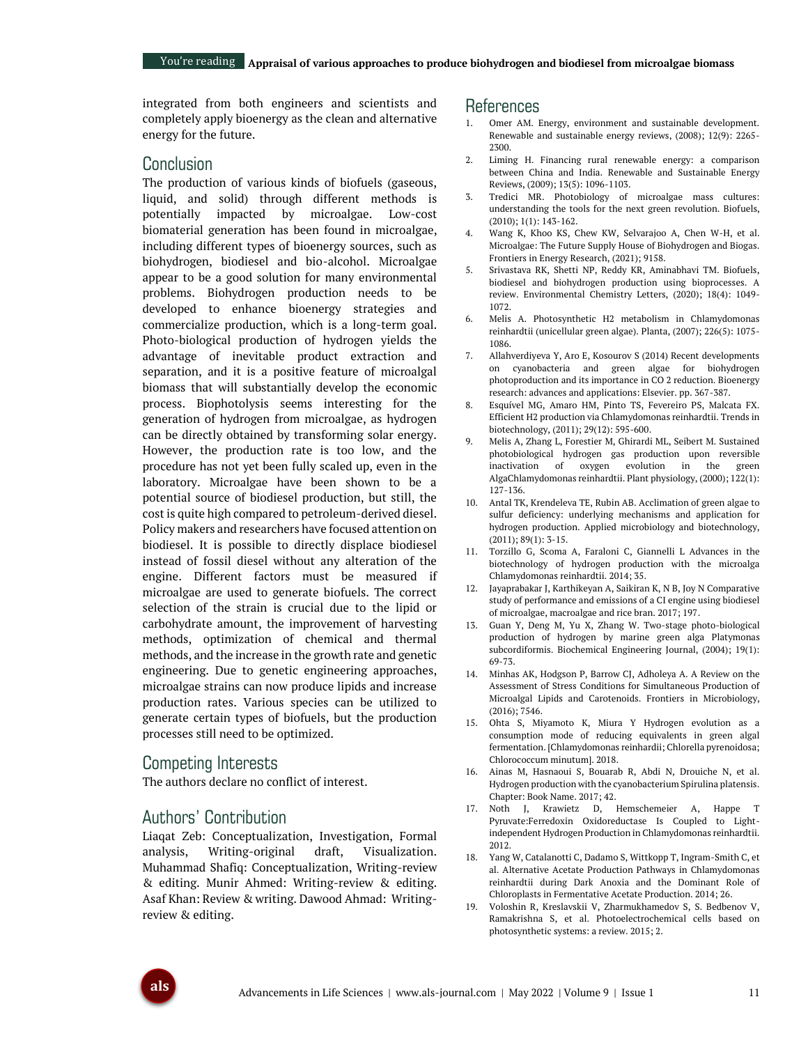integrated from both engineers and scientists and completely apply bioenergy as the clean and alternative energy for the future.

## Conclusion

The production of various kinds of biofuels (gaseous, liquid, and solid) through different methods is potentially impacted by microalgae. Low-cost biomaterial generation has been found in microalgae, including different types of bioenergy sources, such as biohydrogen, biodiesel and bio-alcohol. Microalgae appear to be a good solution for many environmental problems. Biohydrogen production needs to be developed to enhance bioenergy strategies and commercialize production, which is a long-term goal. Photo-biological production of hydrogen yields the advantage of inevitable product extraction and separation, and it is a positive feature of microalgal biomass that will substantially develop the economic process. Biophotolysis seems interesting for the generation of hydrogen from microalgae, as hydrogen can be directly obtained by transforming solar energy. However, the production rate is too low, and the procedure has not yet been fully scaled up, even in the laboratory. Microalgae have been shown to be a potential source of biodiesel production, but still, the cost is quite high compared to petroleum-derived diesel. Policy makers and researchers have focused attention on biodiesel. It is possible to directly displace biodiesel instead of fossil diesel without any alteration of the engine. Different factors must be measured if microalgae are used to generate biofuels. The correct selection of the strain is crucial due to the lipid or carbohydrate amount, the improvement of harvesting methods, optimization of chemical and thermal methods, and the increase in the growth rate and genetic engineering. Due to genetic engineering approaches, microalgae strains can now produce lipids and increase production rates. Various species can be utilized to generate certain types of biofuels, but the production processes still need to be optimized.

## Competing Interests

The authors declare no conflict of interest.

## Authors' Contribution

Liaqat Zeb: Conceptualization, Investigation, Formal analysis, Writing-original draft, Visualization. Muhammad Shafiq: Conceptualization, Writing-review & editing. Munir Ahmed: Writing-review & editing. Asaf Khan: Review & writing. Dawood Ahmad: Writingreview & editing.

### References

- Omer AM. Energy, environment and sustainable development. Renewable and sustainable energy reviews, (2008); 12(9): 2265- 2300.
- 2. Liming H. Financing rural renewable energy: a comparison between China and India. Renewable and Sustainable Energy Reviews, (2009); 13(5): 1096-1103.
- 3. Tredici MR. Photobiology of microalgae mass cultures: understanding the tools for the next green revolution. Biofuels, (2010); 1(1): 143-162.
- 4. Wang K, Khoo KS, Chew KW, Selvarajoo A, Chen W-H, et al. Microalgae: The Future Supply House of Biohydrogen and Biogas. Frontiers in Energy Research, (2021); 9158.
- 5. Srivastava RK, Shetti NP, Reddy KR, Aminabhavi TM. Biofuels, biodiesel and biohydrogen production using bioprocesses. A review. Environmental Chemistry Letters, (2020); 18(4): 1049- 1072.
- 6. Melis A. Photosynthetic H2 metabolism in Chlamydomonas reinhardtii (unicellular green algae). Planta, (2007); 226(5): 1075- 1086.
- 7. Allahverdiyeva Y, Aro E, Kosourov S (2014) Recent developments on cyanobacteria and green algae for biohydrogen photoproduction and its importance in CO 2 reduction. Bioenergy research: advances and applications: Elsevier. pp. 367-387.
- 8. Esquível MG, Amaro HM, Pinto TS, Fevereiro PS, Malcata FX. Efficient H2 production via Chlamydomonas reinhardtii. Trends in biotechnology, (2011); 29(12): 595-600.
- 9. Melis A, Zhang L, Forestier M, Ghirardi ML, Seibert M. Sustained photobiological hydrogen gas production upon reversible inactivation of oxygen evolution in the green AlgaChlamydomonas reinhardtii. Plant physiology, (2000); 122(1): 127-136.
- <span id="page-10-1"></span>10. Antal TK, Krendeleva TE, Rubin AB. Acclimation of green algae to sulfur deficiency: underlying mechanisms and application for hydrogen production. Applied microbiology and biotechnology, (2011); 89(1): 3-15.
- 11. Torzillo G, Scoma A, Faraloni C, Giannelli L Advances in the biotechnology of hydrogen production with the microalga Chlamydomonas reinhardtii. 2014; 35.
- 12. Jayaprabakar J, Karthikeyan A, Saikiran K, N B, Joy N Comparative study of performance and emissions of a CI engine using biodiesel of microalgae, macroalgae and rice bran. 2017; 197.
- 13. Guan Y, Deng M, Yu X, Zhang W. Two-stage photo-biological production of hydrogen by marine green alga Platymonas subcordiformis. Biochemical Engineering Journal, (2004); 19(1): 69-73.
- <span id="page-10-0"></span>14. Minhas AK, Hodgson P, Barrow CJ, Adholeya A. A Review on the Assessment of Stress Conditions for Simultaneous Production of Microalgal Lipids and Carotenoids. Frontiers in Microbiology, (2016); 7546.
- 15. Ohta S, Miyamoto K, Miura Y Hydrogen evolution as a consumption mode of reducing equivalents in green algal fermentation. [Chlamydomonas reinhardii; Chlorella pyrenoidosa; Chlorococcum minutum]. 2018.
- 16. Ainas M, Hasnaoui S, Bouarab R, Abdi N, Drouiche N, et al. Hydrogen production with the cyanobacterium Spirulina platensis. Chapter: Book Name. 2017; 42.
- 17. Noth J, Krawietz D, Hemschemeier A, Happe T Pyruvate:Ferredoxin Oxidoreductase Is Coupled to Lightindependent Hydrogen Production in Chlamydomonas reinhardtii. 2012.
- 18. Yang W, Catalanotti C, Dadamo S, Wittkopp T, Ingram-Smith C, et al. Alternative Acetate Production Pathways in Chlamydomonas reinhardtii during Dark Anoxia and the Dominant Role of Chloroplasts in Fermentative Acetate Production. 2014; 26.
- 19. Voloshin R, Kreslavskii V, Zharmukhamedov S, S. Bedbenov V, Ramakrishna S, et al. Photoelectrochemical cells based on photosynthetic systems: a review. 2015; 2.